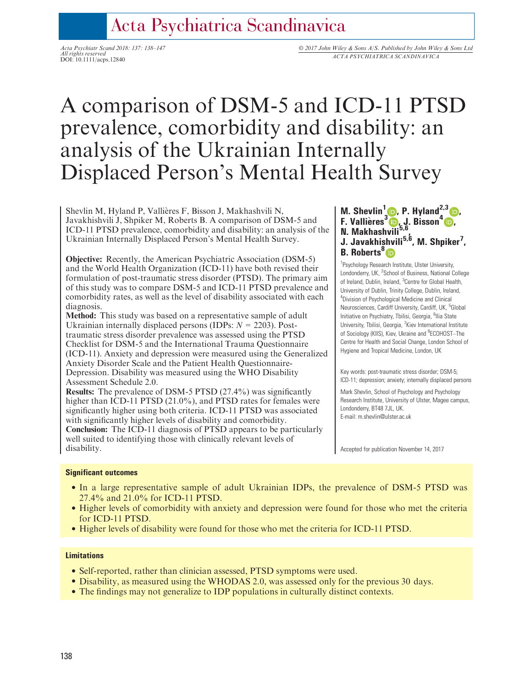# Acta Psychiatrica Scandinavica

All rights reserved All rights reserved<br>DOI: 10.1111/acps.12840<br>DOI: 10.1111/acps.12840

# A comparison of DSM-5 and ICD-11 PTSD prevalence, comorbidity and disability: an analysis of the Ukrainian Internally Displaced Person's Mental Health Survey

Shevlin M, Hyland P, Vallieres F, Bisson J, Makhashvili N, Javakhishvili J, Shpiker M, Roberts B. A comparison of DSM-5 and ICD-11 PTSD prevalence, comorbidity and disability: an analysis of the Ukrainian Internally Displaced Person's Mental Health Survey.

Objective: Recently, the American Psychiatric Association (DSM-5) and the World Health Organization (ICD-11) have both revised their formulation of post-traumatic stress disorder (PTSD). The primary aim of this study was to compare DSM-5 and ICD-11 PTSD prevalence and comorbidity rates, as well as the level of disability associated with each diagnosis.

Method: This study was based on a representative sample of adult Ukrainian internally displaced persons (IDPs:  $N = 2203$ ). Posttraumatic stress disorder prevalence was assessed using the PTSD Checklist for DSM-5 and the International Trauma Questionnaire (ICD-11). Anxiety and depression were measured using the Generalized Anxiety Disorder Scale and the Patient Health Questionnaire-Depression. Disability was measured using the WHO Disability Assessment Schedule 2.0.

Results: The prevalence of DSM-5 PTSD (27.4%) was significantly higher than ICD-11 PTSD (21.0%), and PTSD rates for females were significantly higher using both criteria. ICD-11 PTSD was associated with significantly higher levels of disability and comorbidity. Conclusion: The ICD-11 diagnosis of PTSD appears to be particularly well suited to identifying those with clinically relevant levels of disability.

# M. Shevlin<sup>1</sup> **D**[,](http://orcid.org/0000-0002-9574-7128) P. Hyland<sup>2,3</sup> D. F. Vallières<sup>[3](http://orcid.org/0000-0001-6262-5223)</sup> D. J. Bisson<sup>[4](https://orcid.org/0000-0001-5170-1243)</sup> D. N. Makhash[vil](https://orcid.org/0000-0001-6315-3029)i<sup>5,6</sup>, J. Javakhishvili<sup>5,6</sup>, M. Shpiker<sup>7</sup>, B. Roberts<sup>8</sup><sub>D</sub>

<sup>1</sup> Psychology Research Institute, Ulster University, Londonderry, UK, <sup>2</sup>School of Business, National College of Ireland, Dublin, Ireland, <sup>3</sup>Centre for Global Health, University of Dublin, Trinity College, Dublin, Ireland, 4 Division of Psychological Medicine and Clinical Neurosciences, Cardiff University, Cardiff, UK, <sup>5</sup>Global Initiative on Psychiatry, Tbilisi, Georgia, <sup>6</sup>llia State University, Tbilisi, Georgia, <sup>7</sup>Kiev International Institute of Sociology (KIIS), Kiev, Ukraine and <sup>8</sup>ECOHOST-The Centre for Health and Social Change, London School of Hygiene and Tropical Medicine, London, UK

Key words: post-traumatic stress disorder; DSM-5; ICD-11; depression; anxiety; internally displaced persons

Mark Shevlin, School of Psychology and Psychology Research Institute, University of Ulster, Magee campus, Londonderry, BT48 7JL, UK. E-mail: m.shevlin@ulster.ac.uk

Accepted for publication November 14, 2017

#### Significant outcomes

- In a large representative sample of adult Ukrainian IDPs, the prevalence of DSM-5 PTSD was 27.4% and 21.0% for ICD-11 PTSD.
- Higher levels of comorbidity with anxiety and depression were found for those who met the criteria for ICD-11 PTSD.
- Higher levels of disability were found for those who met the criteria for ICD-11 PTSD.

#### **Limitations**

- Self-reported, rather than clinician assessed, PTSD symptoms were used.
- Disability, as measured using the WHODAS 2.0, was assessed only for the previous 30 days.
- The findings may not generalize to IDP populations in culturally distinct contexts.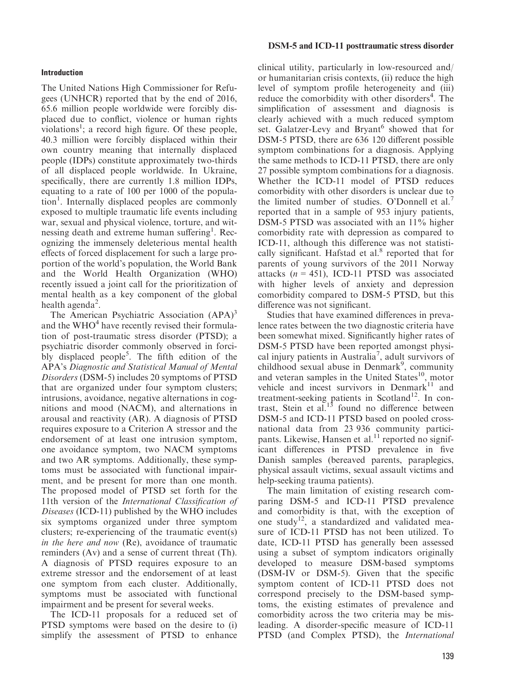#### Introduction

The United Nations High Commissioner for Refugees (UNHCR) reported that by the end of 2016, 65.6 million people worldwide were forcibly displaced due to conflict, violence or human rights violations<sup>1</sup>; a record high figure. Of these people, 40.3 million were forcibly displaced within their own country meaning that internally displaced people (IDPs) constitute approximately two-thirds of all displaced people worldwide. In Ukraine, specifically, there are currently 1.8 million IDPs, equating to a rate of 100 per 1000 of the population<sup>1</sup>. Internally displaced peoples are commonly exposed to multiple traumatic life events including war, sexual and physical violence, torture, and witnessing death and extreme human suffering<sup>1</sup>. Recognizing the immensely deleterious mental health effects of forced displacement for such a large proportion of the world's population, the World Bank and the World Health Organization (WHO) recently issued a joint call for the prioritization of mental health as a key component of the global health agenda<sup>2</sup>.

The American Psychiatric Association  $(APA)^3$ and the  $WHO<sup>4</sup>$  have recently revised their formulation of post-traumatic stress disorder (PTSD); a psychiatric disorder commonly observed in forcibly displaced people<sup>5</sup>. The fifth edition of the APA's Diagnostic and Statistical Manual of Mental Disorders (DSM-5) includes 20 symptoms of PTSD that are organized under four symptom clusters; intrusions, avoidance, negative alternations in cognitions and mood (NACM), and alternations in arousal and reactivity (AR). A diagnosis of PTSD requires exposure to a Criterion A stressor and the endorsement of at least one intrusion symptom, one avoidance symptom, two NACM symptoms and two AR symptoms. Additionally, these symptoms must be associated with functional impairment, and be present for more than one month. The proposed model of PTSD set forth for the 11th version of the International Classification of Diseases (ICD-11) published by the WHO includes six symptoms organized under three symptom clusters; re-experiencing of the traumatic event(s) in the here and now (Re), avoidance of traumatic reminders (Av) and a sense of current threat (Th). A diagnosis of PTSD requires exposure to an extreme stressor and the endorsement of at least one symptom from each cluster. Additionally, symptoms must be associated with functional impairment and be present for several weeks.

The ICD-11 proposals for a reduced set of PTSD symptoms were based on the desire to (i) simplify the assessment of PTSD to enhance

#### DSM-5 and ICD-11 posttraumatic stress disorder

clinical utility, particularly in low-resourced and/ or humanitarian crisis contexts, (ii) reduce the high level of symptom profile heterogeneity and (iii) reduce the comorbidity with other disorders<sup>4</sup>. The simplification of assessment and diagnosis is clearly achieved with a much reduced symptom set. Galatzer-Levy and Bryant<sup>6</sup> showed that for DSM-5 PTSD, there are 636 120 different possible symptom combinations for a diagnosis. Applying the same methods to ICD-11 PTSD, there are only 27 possible symptom combinations for a diagnosis. Whether the ICD-11 model of PTSD reduces comorbidity with other disorders is unclear due to the limited number of studies. O'Donnell et al.<sup>7</sup> reported that in a sample of 953 injury patients, DSM-5 PTSD was associated with an 11% higher comorbidity rate with depression as compared to ICD-11, although this difference was not statistically significant. Hafstad et al. $8$  reported that for parents of young survivors of the 2011 Norway attacks  $(n = 451)$ , ICD-11 PTSD was associated with higher levels of anxiety and depression comorbidity compared to DSM-5 PTSD, but this difference was not significant.

Studies that have examined differences in prevalence rates between the two diagnostic criteria have been somewhat mixed. Significantly higher rates of DSM-5 PTSD have been reported amongst physical injury patients in Australia<sup>7</sup>, adult survivors of childhood sexual abuse in Denmark<sup>9</sup>, community and veteran samples in the United States $^{10}$ , motor vehicle and incest survivors in Denmark $11$  and treatment-seeking patients in Scotland<sup>12</sup>. In contrast, Stein et  $aL^{13}$  found no difference between DSM-5 and ICD-11 PTSD based on pooled crossnational data from 23 936 community participants. Likewise, Hansen et al.<sup>11</sup> reported no significant differences in PTSD prevalence in five Danish samples (bereaved parents, paraplegics, physical assault victims, sexual assault victims and help-seeking trauma patients).

The main limitation of existing research comparing DSM-5 and ICD-11 PTSD prevalence and comorbidity is that, with the exception of one study<sup>12</sup>, a standardized and validated measure of ICD-11 PTSD has not been utilized. To date, ICD-11 PTSD has generally been assessed using a subset of symptom indicators originally developed to measure DSM-based symptoms (DSM-IV or DSM-5). Given that the specific symptom content of ICD-11 PTSD does not correspond precisely to the DSM-based symptoms, the existing estimates of prevalence and comorbidity across the two criteria may be misleading. A disorder-specific measure of ICD-11 PTSD (and Complex PTSD), the International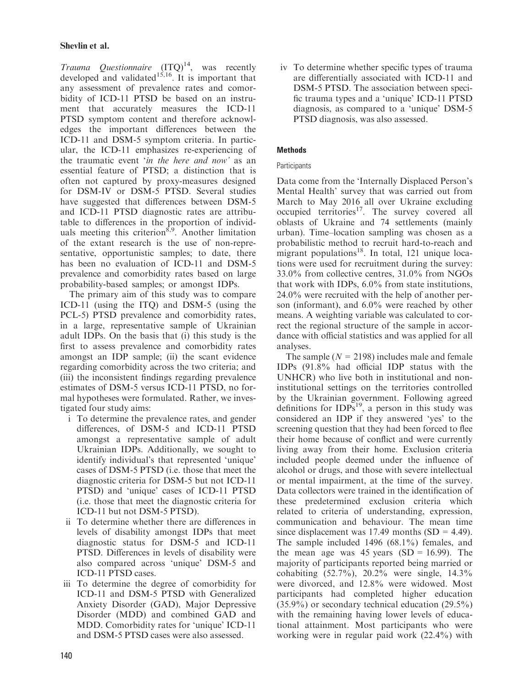# Shevlin et al.

*Trauma Questionnaire*  $(ITQ)^{14}$ , was recently developed and validated<sup>15,16</sup>. It is important that any assessment of prevalence rates and comorbidity of ICD-11 PTSD be based on an instrument that accurately measures the ICD-11 PTSD symptom content and therefore acknowledges the important differences between the ICD-11 and DSM-5 symptom criteria. In particular, the ICD-11 emphasizes re-experiencing of the traumatic event 'in the here and now' as an essential feature of PTSD; a distinction that is often not captured by proxy-measures designed for DSM-IV or DSM-5 PTSD. Several studies have suggested that differences between DSM-5 and ICD-11 PTSD diagnostic rates are attributable to differences in the proportion of individuals meeting this criterion<sup>8,9</sup>. Another limitation of the extant research is the use of non-representative, opportunistic samples; to date, there has been no evaluation of ICD-11 and DSM-5 prevalence and comorbidity rates based on large probability-based samples; or amongst IDPs.

The primary aim of this study was to compare ICD-11 (using the ITQ) and DSM-5 (using the PCL-5) PTSD prevalence and comorbidity rates, in a large, representative sample of Ukrainian adult IDPs. On the basis that (i) this study is the first to assess prevalence and comorbidity rates amongst an IDP sample; (ii) the scant evidence regarding comorbidity across the two criteria; and (iii) the inconsistent findings regarding prevalence estimates of DSM-5 versus ICD-11 PTSD, no formal hypotheses were formulated. Rather, we investigated four study aims:

- i To determine the prevalence rates, and gender differences, of DSM-5 and ICD-11 PTSD amongst a representative sample of adult Ukrainian IDPs. Additionally, we sought to identify individual's that represented 'unique' cases of DSM-5 PTSD (i.e. those that meet the diagnostic criteria for DSM-5 but not ICD-11 PTSD) and 'unique' cases of ICD-11 PTSD (i.e. those that meet the diagnostic criteria for ICD-11 but not DSM-5 PTSD).
- ii To determine whether there are differences in levels of disability amongst IDPs that meet diagnostic status for DSM-5 and ICD-11 PTSD. Differences in levels of disability were also compared across 'unique' DSM-5 and ICD-11 PTSD cases.
- iii To determine the degree of comorbidity for ICD-11 and DSM-5 PTSD with Generalized Anxiety Disorder (GAD), Major Depressive Disorder (MDD) and combined GAD and MDD. Comorbidity rates for 'unique' ICD-11 and DSM-5 PTSD cases were also assessed.

iv To determine whether specific types of trauma are differentially associated with ICD-11 and DSM-5 PTSD. The association between specific trauma types and a 'unique' ICD-11 PTSD diagnosis, as compared to a 'unique' DSM-5 PTSD diagnosis, was also assessed.

# Methods

# **Participants**

Data come from the 'Internally Displaced Person's Mental Health' survey that was carried out from March to May 2016 all over Ukraine excluding occupied territories<sup>17</sup>. The survey covered all oblasts of Ukraine and 74 settlements (mainly urban). Time–location sampling was chosen as a probabilistic method to recruit hard-to-reach and migrant populations $18$ . In total, 121 unique locations were used for recruitment during the survey: 33.0% from collective centres, 31.0% from NGOs that work with IDPs, 6.0% from state institutions, 24.0% were recruited with the help of another person (informant), and 6.0% were reached by other means. A weighting variable was calculated to correct the regional structure of the sample in accordance with official statistics and was applied for all analyses.

The sample ( $N = 2198$ ) includes male and female IDPs (91.8% had official IDP status with the UNHCR) who live both in institutional and noninstitutional settings on the territories controlled by the Ukrainian government. Following agreed definitions for  $IDPs<sup>19</sup>$ , a person in this study was considered an IDP if they answered 'yes' to the screening question that they had been forced to flee their home because of conflict and were currently living away from their home. Exclusion criteria included people deemed under the influence of alcohol or drugs, and those with severe intellectual or mental impairment, at the time of the survey. Data collectors were trained in the identification of these predetermined exclusion criteria which related to criteria of understanding, expression, communication and behaviour. The mean time since displacement was 17.49 months  $(SD = 4.49)$ . The sample included 1496 (68.1%) females, and the mean age was 45 years  $(SD = 16.99)$ . The majority of participants reported being married or cohabiting (52.7%), 20.2% were single, 14.3% were divorced, and 12.8% were widowed. Most participants had completed higher education (35.9%) or secondary technical education (29.5%) with the remaining having lower levels of educational attainment. Most participants who were working were in regular paid work (22.4%) with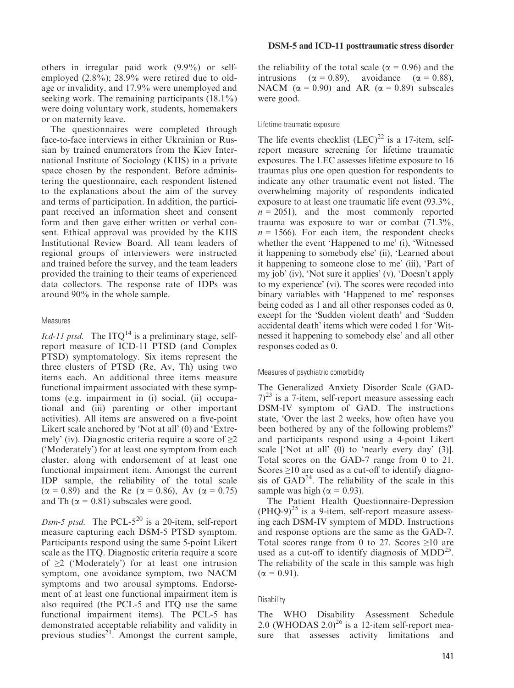others in irregular paid work (9.9%) or selfemployed (2.8%); 28.9% were retired due to oldage or invalidity, and 17.9% were unemployed and seeking work. The remaining participants (18.1%) were doing voluntary work, students, homemakers or on maternity leave.

The questionnaires were completed through face-to-face interviews in either Ukrainian or Russian by trained enumerators from the Kiev International Institute of Sociology (KIIS) in a private space chosen by the respondent. Before administering the questionnaire, each respondent listened to the explanations about the aim of the survey and terms of participation. In addition, the participant received an information sheet and consent form and then gave either written or verbal consent. Ethical approval was provided by the KIIS Institutional Review Board. All team leaders of regional groups of interviewers were instructed and trained before the survey, and the team leaders provided the training to their teams of experienced data collectors. The response rate of IDPs was around 90% in the whole sample.

#### Measures

*Icd-11 ptsd.* The ITQ<sup>14</sup> is a preliminary stage, selfreport measure of ICD-11 PTSD (and Complex PTSD) symptomatology. Six items represent the three clusters of PTSD (Re, Av, Th) using two items each. An additional three items measure functional impairment associated with these symptoms (e.g. impairment in (i) social, (ii) occupational and (iii) parenting or other important activities). All items are answered on a five-point Likert scale anchored by 'Not at all' (0) and 'Extremely' (iv). Diagnostic criteria require a score of  $\geq 2$ ('Moderately') for at least one symptom from each cluster, along with endorsement of at least one functional impairment item. Amongst the current IDP sample, the reliability of the total scale  $(\alpha = 0.89)$  and the Re  $(\alpha = 0.86)$ , Av  $(\alpha = 0.75)$ and Th ( $\alpha$  = 0.81) subscales were good.

Dsm-5 ptsd. The PCL- $5^{20}$  is a 20-item, self-report measure capturing each DSM-5 PTSD symptom. Participants respond using the same 5-point Likert scale as the ITQ. Diagnostic criteria require a score of  $\geq$ 2 ('Moderately') for at least one intrusion symptom, one avoidance symptom, two NACM symptoms and two arousal symptoms. Endorsement of at least one functional impairment item is also required (the PCL-5 and ITQ use the same functional impairment items). The PCL-5 has demonstrated acceptable reliability and validity in previous studies $^{21}$ . Amongst the current sample, the reliability of the total scale ( $\alpha$  = 0.96) and the intrusions ( $\alpha = 0.89$ ), avoidance ( $\alpha = 0.88$ ), NACM ( $\alpha$  = 0.90) and AR ( $\alpha$  = 0.89) subscales were good.

#### Lifetime traumatic exposure

The life events checklist  $(LEC)^{22}$  is a 17-item, selfreport measure screening for lifetime traumatic exposures. The LEC assesses lifetime exposure to 16 traumas plus one open question for respondents to indicate any other traumatic event not listed. The overwhelming majority of respondents indicated exposure to at least one traumatic life event (93.3%,  $n = 2051$ , and the most commonly reported trauma was exposure to war or combat (71.3%,  $n = 1566$ . For each item, the respondent checks whether the event 'Happened to me' (i), 'Witnessed it happening to somebody else' (ii), 'Learned about it happening to someone close to me' (iii), 'Part of my job' (iv), 'Not sure it applies' (v), 'Doesn't apply to my experience' (vi). The scores were recoded into binary variables with 'Happened to me' responses being coded as 1 and all other responses coded as 0, except for the 'Sudden violent death' and 'Sudden accidental death' items which were coded 1 for 'Witnessed it happening to somebody else' and all other responses coded as 0.

#### Measures of psychiatric comorbidity

The Generalized Anxiety Disorder Scale (GAD- $(7)^{23}$  is a 7-item, self-report measure assessing each DSM-IV symptom of GAD. The instructions state, 'Over the last 2 weeks, how often have you been bothered by any of the following problems?' and participants respond using a 4-point Likert scale ['Not at all' (0) to 'nearly every day' (3)]. Total scores on the GAD-7 range from 0 to 21. Scores ≥10 are used as a cut-off to identify diagnosis of  $GAD<sup>24</sup>$ . The reliability of the scale in this sample was high ( $\alpha = 0.93$ ).

The Patient Health Questionnaire-Depression  $(PHQ-9)^{25}$  is a 9-item, self-report measure assessing each DSM-IV symptom of MDD. Instructions and response options are the same as the GAD-7. Total scores range from 0 to 27. Scores  $\geq 10$  are used as a cut-off to identify diagnosis of  $MDD^{25}$ . The reliability of the scale in this sample was high  $(\alpha = 0.91)$ .

#### **Disability**

The WHO Disability Assessment Schedule 2.0 (WHODAS 2.0)<sup>26</sup> is a 12-item self-report measure that assesses activity limitations and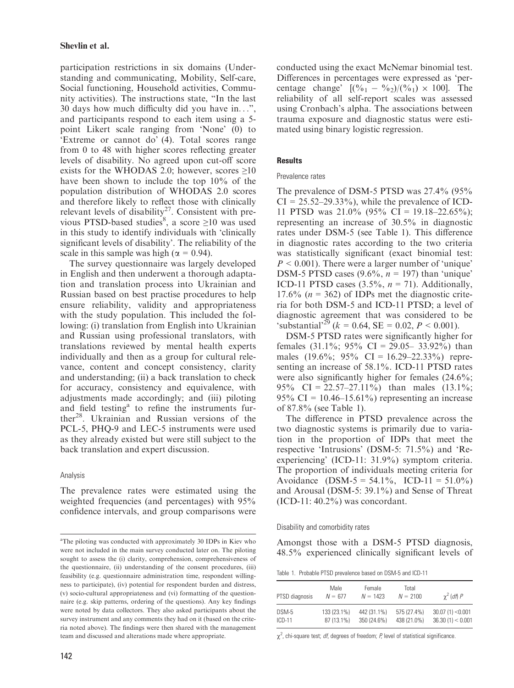participation restrictions in six domains (Understanding and communicating, Mobility, Self-care, Social functioning, Household activities, Community activities). The instructions state, "In the last 30 days how much difficulty did you have in...", and participants respond to each item using a 5 point Likert scale ranging from 'None' (0) to 'Extreme or cannot do' (4). Total scores range from 0 to 48 with higher scores reflecting greater levels of disability. No agreed upon cut-off score exists for the WHODAS 2.0; however, scores  $\geq 10$ have been shown to include the top 10% of the population distribution of WHODAS 2.0 scores and therefore likely to reflect those with clinically relevant levels of disability<sup>27</sup>. Consistent with previous PTSD-based studies<sup>8</sup>, a score  $\geq 10$  was used in this study to identify individuals with 'clinically significant levels of disability'. The reliability of the scale in this sample was high ( $\alpha = 0.94$ ).

The survey questionnaire was largely developed in English and then underwent a thorough adaptation and translation process into Ukrainian and Russian based on best practise procedures to help ensure reliability, validity and appropriateness with the study population. This included the following: (i) translation from English into Ukrainian and Russian using professional translators, with translations reviewed by mental health experts individually and then as a group for cultural relevance, content and concept consistency, clarity and understanding; (ii) a back translation to check for accuracy, consistency and equivalence, with adjustments made accordingly; and (iii) piloting and field testing<sup>a</sup> to refine the instruments further28. Ukrainian and Russian versions of the PCL-5, PHQ-9 and LEC-5 instruments were used as they already existed but were still subject to the back translation and expert discussion.

## Analysis

The prevalence rates were estimated using the weighted frequencies (and percentages) with 95% confidence intervals, and group comparisons were conducted using the exact McNemar binomial test. Differences in percentages were expressed as 'percentage change'  $[(\%_1 - \%_2)/(\%_1) \times 100]$ . The reliability of all self-report scales was assessed using Cronbach's alpha. The associations between trauma exposure and diagnostic status were estimated using binary logistic regression.

## **Results**

#### Prevalence rates

The prevalence of DSM-5 PTSD was 27.4% (95%  $CI = 25.52-29.33\%$ , while the prevalence of ICD-11 PTSD was  $21.0\%$  (95% CI = 19.18–22.65%); representing an increase of 30.5% in diagnostic rates under DSM-5 (see Table 1). This difference in diagnostic rates according to the two criteria was statistically significant (exact binomial test:  $P < 0.001$ ). There were a larger number of 'unique' DSM-5 PTSD cases  $(9.6\%, n = 197)$  than 'unique' ICD-11 PTSD cases  $(3.5\%, n = 71)$ . Additionally, 17.6% ( $n = 362$ ) of IDPs met the diagnostic criteria for both DSM-5 and ICD-11 PTSD; a level of diagnostic agreement that was considered to be 'substantial'<sup>29</sup> ( $k = 0.64$ , SE = 0.02,  $P < 0.001$ ).

DSM-5 PTSD rates were significantly higher for females  $(31.1\%; 95\% \text{ CI} = 29.05- 33.92\%)$  than males (19.6%; 95% CI = 16.29–22.33%) representing an increase of 58.1%. ICD-11 PTSD rates were also significantly higher for females  $(24.6\%;$ 95% CI = 22.57–27.11%) than males  $(13.1\%;$ 95% CI =  $10.46 - 15.61%$  representing an increase of 87.8% (see Table 1).

The difference in PTSD prevalence across the two diagnostic systems is primarily due to variation in the proportion of IDPs that meet the respective 'Intrusions' (DSM-5: 71.5%) and 'Reexperiencing' (ICD-11: 31.9%) symptom criteria. The proportion of individuals meeting criteria for Avoidance  $(DSM-5 = 54.1\%, ICD-11 = 51.0\%)$ and Arousal (DSM-5: 39.1%) and Sense of Threat (ICD-11: 40.2%) was concordant.

#### Disability and comorbidity rates

Amongst those with a DSM-5 PTSD diagnosis, 48.5% experienced clinically significant levels of

Table 1. Probable PTSD prevalence based on DSM-5 and ICD-11

| PTSD diagnosis | Male<br>$N = 677$ | Female<br>$N = 1423$ | Total<br>$N = 2100$ | $\gamma^2$ (df) P |
|----------------|-------------------|----------------------|---------------------|-------------------|
| DSM-5          | 133 (23.1%)       | 442 (31.1%)          | 575 (27.4%)         | 30.07(1) < 0.001  |
| $ICD-11$       | 87 (13.1%)        | 350 (24.6%)          | 438 (21.0%)         | 36.30(1) < 0.001  |

 $\chi^2$ , chi-square test; *df*, degrees of freedom; P, level of statistical significance.

<sup>&</sup>lt;sup>a</sup>The piloting was conducted with approximately 30 IDPs in Kiev who were not included in the main survey conducted later on. The piloting sought to assess the (i) clarity, comprehension, comprehensiveness of the questionnaire, (ii) understanding of the consent procedures, (iii) feasibility (e.g. questionnaire administration time, respondent willingness to participate), (iv) potential for respondent burden and distress, (v) socio-cultural appropriateness and (vi) formatting of the questionnaire (e.g. skip patterns, ordering of the questions). Any key findings were noted by data collectors. They also asked participants about the survey instrument and any comments they had on it (based on the criteria noted above). The findings were then shared with the management team and discussed and alterations made where appropriate.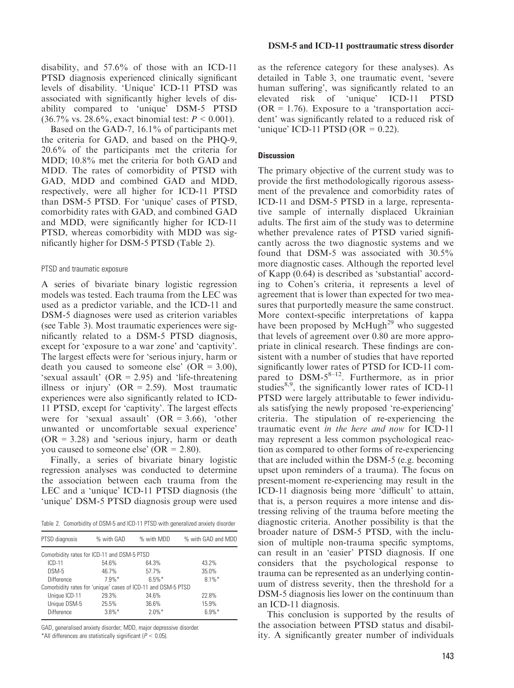disability, and 57.6% of those with an ICD-11 PTSD diagnosis experienced clinically significant levels of disability. 'Unique' ICD-11 PTSD was associated with significantly higher levels of disability compared to 'unique' DSM-5 PTSD  $(36.7\% \text{ vs. } 28.6\%, \text{ exact binomial test: } P < 0.001).$ 

Based on the GAD-7, 16.1% of participants met the criteria for GAD, and based on the PHQ-9, 20.6% of the participants met the criteria for MDD; 10.8% met the criteria for both GAD and MDD. The rates of comorbidity of PTSD with GAD, MDD and combined GAD and MDD, respectively, were all higher for ICD-11 PTSD than DSM-5 PTSD. For 'unique' cases of PTSD, comorbidity rates with GAD, and combined GAD and MDD, were significantly higher for ICD-11 PTSD, whereas comorbidity with MDD was significantly higher for DSM-5 PTSD (Table 2).

#### PTSD and traumatic exposure

A series of bivariate binary logistic regression models was tested. Each trauma from the LEC was used as a predictor variable, and the ICD-11 and DSM-5 diagnoses were used as criterion variables (see Table 3). Most traumatic experiences were significantly related to a DSM-5 PTSD diagnosis, except for 'exposure to a war zone' and 'captivity'. The largest effects were for 'serious injury, harm or death you caused to someone else'  $(OR = 3.00)$ , 'sexual assault'  $(OR = 2.95)$  and 'life-threatening' illness or injury'  $(OR = 2.59)$ . Most traumatic experiences were also significantly related to ICD-11 PTSD, except for 'captivity'. The largest effects were for 'sexual assault'  $(OR = 3.66)$ , 'other unwanted or uncomfortable sexual experience'  $(OR = 3.28)$  and 'serious injury, harm or death you caused to someone else'  $(OR = 2.80)$ .

Finally, a series of bivariate binary logistic regression analyses was conducted to determine the association between each trauma from the LEC and a 'unique' ICD-11 PTSD diagnosis (the 'unique' DSM-5 PTSD diagnosis group were used

Table 2. Comorbidity of DSM-5 and ICD-11 PTSD with generalized anxiety disorder

| PTSD diagnosis                                                | % with GAD | % with MDD | % with GAD and MDD |
|---------------------------------------------------------------|------------|------------|--------------------|
| Comorbidity rates for ICD-11 and DSM-5 PTSD                   |            |            |                    |
| $ICD-11$                                                      | 54.6%      | 64.3%      | 43.2%              |
| DSM-5                                                         | 46.7%      | 57.7%      | 35.0%              |
| <b>Difference</b>                                             | $7.9\%$ *  | $6.5\%$ *  | $8.1\%$ *          |
| Comorbidity rates for 'unique' cases of ICD-11 and DSM-5 PTSD |            |            |                    |
| Unique ICD-11                                                 | 29.3%      | 34.6%      | 22.8%              |
| Unique DSM-5                                                  | 25.5%      | 36.6%      | 15.9%              |
| <b>Difference</b>                                             | $3.8\%$ *  | $2.0\%$ *  | $6.9\%$ *          |
|                                                               |            |            |                    |

GAD, generalised anxiety disorder; MDD, major depressive disorder.

\*All differences are statistically significant ( $P < 0.05$ ).

as the reference category for these analyses). As detailed in Table 3, one traumatic event, 'severe human suffering', was significantly related to an elevated risk of 'unique' ICD-11 PTSD  $(OR = 1.76)$ . Exposure to a 'transportation accident' was significantly related to a reduced risk of 'unique' ICD-11 PTSD (OR =  $0.22$ ).

#### **Discussion**

The primary objective of the current study was to provide the first methodologically rigorous assessment of the prevalence and comorbidity rates of ICD-11 and DSM-5 PTSD in a large, representative sample of internally displaced Ukrainian adults. The first aim of the study was to determine whether prevalence rates of PTSD varied significantly across the two diagnostic systems and we found that DSM-5 was associated with 30.5% more diagnostic cases. Although the reported level of Kapp (0.64) is described as 'substantial' according to Cohen's criteria, it represents a level of agreement that is lower than expected for two measures that purportedly measure the same construct. More context-specific interpretations of kappa have been proposed by McHugh<sup>29</sup> who suggested that levels of agreement over 0.80 are more appropriate in clinical research. These findings are consistent with a number of studies that have reported significantly lower rates of PTSD for ICD-11 compared to  $DSM-5^{8-12}$ . Furthermore, as in prior studies $8,9$ , the significantly lower rates of ICD-11 PTSD were largely attributable to fewer individuals satisfying the newly proposed 're-experiencing' criteria. The stipulation of re-experiencing the traumatic event in the here and now for ICD-11 may represent a less common psychological reaction as compared to other forms of re-experiencing that are included within the DSM-5 (e.g. becoming upset upon reminders of a trauma). The focus on present-moment re-experiencing may result in the ICD-11 diagnosis being more 'difficult' to attain, that is, a person requires a more intense and distressing reliving of the trauma before meeting the diagnostic criteria. Another possibility is that the broader nature of DSM-5 PTSD, with the inclusion of multiple non-trauma specific symptoms, can result in an 'easier' PTSD diagnosis. If one considers that the psychological response to trauma can be represented as an underlying continuum of distress severity, then the threshold for a DSM-5 diagnosis lies lower on the continuum than an ICD-11 diagnosis.

This conclusion is supported by the results of the association between PTSD status and disability. A significantly greater number of individuals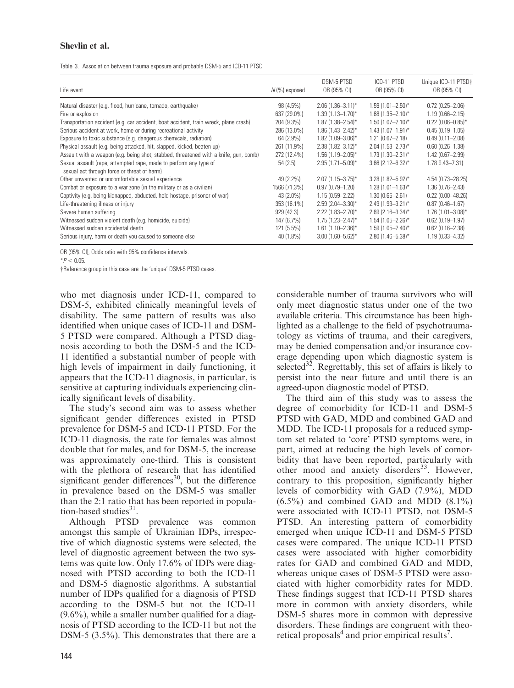# Shevlin et al.

|  | Table 3. Association between trauma exposure and probable DSM-5 and ICD-11 PTSD |  |  |  |  |  |  |  |  |  |
|--|---------------------------------------------------------------------------------|--|--|--|--|--|--|--|--|--|
|--|---------------------------------------------------------------------------------|--|--|--|--|--|--|--|--|--|

| Life event                                                                                                       | $N(\%)$ exposed | DSM-5 PTSD<br>OR (95% CI) | ICD-11 PTSD<br>OR (95% CI)      | Unique ICD-11 PTSD+<br>OR (95% CI) |
|------------------------------------------------------------------------------------------------------------------|-----------------|---------------------------|---------------------------------|------------------------------------|
| Natural disaster (e.g. flood, hurricane, tornado, earthquake)                                                    | 98 (4.5%)       | $2.06(1.36 - 3.11)^{*}$   | $1.59(1.01 - 2.50)^{*}$         | $0.72(0.25 - 2.06)$                |
| Fire or explosion                                                                                                | 637 (29.0%)     | $1.39(1.13 - 1.70)^{*}$   | $1.68(1.35 - 2.10)^{*}$         | $1.19(0.66 - 2.15)$                |
| Transportation accident (e.g. car accident, boat accident, train wreck, plane crash)                             | 204 (9.3%)      | $1.87(1.38 - 2.54)^{*}$   | $1.50(1.07 - 2.10)^*$           | $0.22(0.06 - 0.85)^*$              |
| Serious accident at work, home or during recreational activity                                                   | 286 (13.0%)     | $1.86(1.43 - 2.42)^*$     | $1.43(1.07-1.91)^{*}$           | $0.45(0.19 - 1.05)$                |
| Exposure to toxic substance (e.g. dangerous chemicals, radiation)                                                | 64 (2.9%)       | $1.82(1.09 - 3.06)^*$     | $1.21(0.67 - 2.18)$             | $0.49(0.11 - 2.08)$                |
| Physical assault (e.g. being attacked, hit, slapped, kicked, beaten up)                                          | 261 (11.9%)     | $2.38(1.82 - 3.12)^{*}$   | $2.04(1.53 - 2.73)^{*}$         | $0.60(0.26 - 1.38)$                |
| Assault with a weapon (e.g. being shot, stabbed, threatened with a knife, gun, bomb)                             | 272 (12.4%)     | $1.56(1.19 - 2.05)^*$     | $1.73(1.30 - 2.31)^{*}$         | $1.42(0.67 - 2.99)$                |
| Sexual assault (rape, attempted rape, made to perform any type of<br>sexual act through force or threat of harm) | 54 (2.5)        | $2.95(1.71 - 5.09)^*$     | $3.66$ (2.12-6.32) <sup>*</sup> | $1.78$ $9.43 - 7.31$               |
| Other unwanted or uncomfortable sexual experience                                                                | 49 (2.2%)       | $2.07(1.15 - 3.75)^*$     | $3.28(1.82 - 5.92)^*$           | $4.54(0.73 - 28.25)$               |
| Combat or exposure to a war zone (in the military or as a civilian)                                              | 1566 (71.3%)    | $0.97(0.79 - 1.20)$       | $1.28(1.01 - 1.63)^{*}$         | $1.36(0.76 - 2.43)$                |
| Captivity (e.g. being kidnapped, abducted, held hostage, prisoner of war)                                        | 43 (2.0%)       | $1.15(0.59 - 2.22)$       | $1.30(0.65 - 2.61)$             | $0.22(0.00 - 48.26)$               |
| Life-threatening illness or injury                                                                               | 353 (16.1%)     | $2.59(2.04 - 3.30)^*$     | $2.49(1.93 - 3.21)^*$           | $0.87(0.46 - 1.67)$                |
| Severe human suffering                                                                                           | 929 (42.3)      | $2.22$ (1.83-2.70)*       | $2.69$ (2.16-3.34)*             | $1.76(1.01 - 3.08)^*$              |
| Witnessed sudden violent death (e.g. homicide, suicide)                                                          | 147 (6.7%)      | $1.75(1.23 - 2.47)^*$     | $1.54(1.05 - 2.26)^{*}$         | $0.62(0.19 - 1.97)$                |
| Witnessed sudden accidental death                                                                                | $121(5.5\%)$    | $1.61(1.10 - 2.36)^*$     | $1.59(1.05 - 2.40)^{*}$         | $0.62(0.16 - 2.38)$                |
| Serious injury, harm or death you caused to someone else                                                         | 40 (1.8%)       | $3.00(1.60 - 5.62)^*$     | $2.80(1.46 - 5.38)^*$           | $1.19(0.33 - 4.32)$                |

OR (95% CI), Odds ratio with 95% confidence intervals.

 $*P < 0.05$ 

†Reference group in this case are the 'unique' DSM-5 PTSD cases.

who met diagnosis under ICD-11, compared to DSM-5, exhibited clinically meaningful levels of disability. The same pattern of results was also identified when unique cases of ICD-11 and DSM-5 PTSD were compared. Although a PTSD diagnosis according to both the DSM-5 and the ICD-11 identified a substantial number of people with high levels of impairment in daily functioning, it appears that the ICD-11 diagnosis, in particular, is sensitive at capturing individuals experiencing clinically significant levels of disability.

The study's second aim was to assess whether significant gender differences existed in PTSD prevalence for DSM-5 and ICD-11 PTSD. For the ICD-11 diagnosis, the rate for females was almost double that for males, and for DSM-5, the increase was approximately one-third. This is consistent with the plethora of research that has identified significant gender differences<sup>30</sup>, but the difference in prevalence based on the DSM-5 was smaller than the 2:1 ratio that has been reported in population-based studies $31$ .

Although PTSD prevalence was common amongst this sample of Ukrainian IDPs, irrespective of which diagnostic systems were selected, the level of diagnostic agreement between the two systems was quite low. Only 17.6% of IDPs were diagnosed with PTSD according to both the ICD-11 and DSM-5 diagnostic algorithms. A substantial number of IDPs qualified for a diagnosis of PTSD according to the DSM-5 but not the ICD-11  $(9.6\%)$ , while a smaller number qualified for a diagnosis of PTSD according to the ICD-11 but not the DSM-5 (3.5%). This demonstrates that there are a considerable number of trauma survivors who will only meet diagnostic status under one of the two available criteria. This circumstance has been highlighted as a challenge to the field of psychotraumatology as victims of trauma, and their caregivers, may be denied compensation and/or insurance coverage depending upon which diagnostic system is selected $32$ . Regrettably, this set of affairs is likely to persist into the near future and until there is an agreed-upon diagnostic model of PTSD.

The third aim of this study was to assess the degree of comorbidity for ICD-11 and DSM-5 PTSD with GAD, MDD and combined GAD and MDD. The ICD-11 proposals for a reduced symptom set related to 'core' PTSD symptoms were, in part, aimed at reducing the high levels of comorbidity that have been reported, particularly with other mood and anxiety disorders<sup>33</sup>. However, contrary to this proposition, significantly higher levels of comorbidity with GAD (7.9%), MDD  $(6.5\%)$  and combined GAD and MDD  $(8.1\%)$ were associated with ICD-11 PTSD, not DSM-5 PTSD. An interesting pattern of comorbidity emerged when unique ICD-11 and DSM-5 PTSD cases were compared. The unique ICD-11 PTSD cases were associated with higher comorbidity rates for GAD and combined GAD and MDD, whereas unique cases of DSM-5 PTSD were associated with higher comorbidity rates for MDD. These findings suggest that ICD-11 PTSD shares more in common with anxiety disorders, while DSM-5 shares more in common with depressive disorders. These findings are congruent with theoretical proposals<sup>4</sup> and prior empirical results<sup>7</sup>.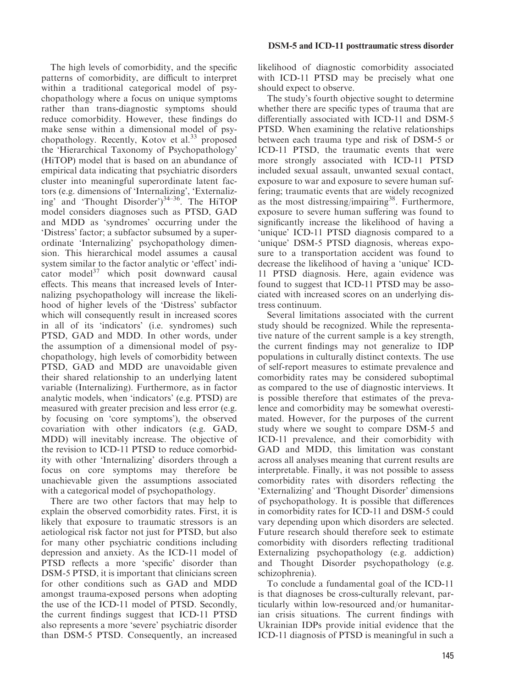The high levels of comorbidity, and the specific patterns of comorbidity, are difficult to interpret within a traditional categorical model of psychopathology where a focus on unique symptoms rather than trans-diagnostic symptoms should reduce comorbidity. However, these findings do make sense within a dimensional model of psychopathology. Recently, Kotov et al.<sup>33</sup> proposed the 'Hierarchical Taxonomy of Psychopathology' (HiTOP) model that is based on an abundance of empirical data indicating that psychiatric disorders cluster into meaningful superordinate latent factors (e.g. dimensions of 'Internalizing', 'Externalizing' and 'Thought Disorder')<sup>34–36</sup>. The HiTOP model considers diagnoses such as PTSD, GAD and MDD as 'syndromes' occurring under the 'Distress' factor; a subfactor subsumed by a superordinate 'Internalizing' psychopathology dimension. This hierarchical model assumes a causal system similar to the factor analytic or 'effect' indicator model<sup>37</sup> which posit downward causal effects. This means that increased levels of Internalizing psychopathology will increase the likelihood of higher levels of the 'Distress' subfactor which will consequently result in increased scores in all of its 'indicators' (i.e. syndromes) such PTSD, GAD and MDD. In other words, under the assumption of a dimensional model of psychopathology, high levels of comorbidity between PTSD, GAD and MDD are unavoidable given their shared relationship to an underlying latent variable (Internalizing). Furthermore, as in factor analytic models, when 'indicators' (e.g. PTSD) are measured with greater precision and less error (e.g. by focusing on 'core symptoms'), the observed covariation with other indicators (e.g. GAD, MDD) will inevitably increase. The objective of the revision to ICD-11 PTSD to reduce comorbidity with other 'Internalizing' disorders through a focus on core symptoms may therefore be unachievable given the assumptions associated with a categorical model of psychopathology.

There are two other factors that may help to explain the observed comorbidity rates. First, it is likely that exposure to traumatic stressors is an aetiological risk factor not just for PTSD, but also for many other psychiatric conditions including depression and anxiety. As the ICD-11 model of PTSD reflects a more 'specific' disorder than DSM-5 PTSD, it is important that clinicians screen for other conditions such as GAD and MDD amongst trauma-exposed persons when adopting the use of the ICD-11 model of PTSD. Secondly, the current findings suggest that ICD-11 PTSD also represents a more 'severe' psychiatric disorder than DSM-5 PTSD. Consequently, an increased

likelihood of diagnostic comorbidity associated with ICD-11 PTSD may be precisely what one should expect to observe.

The study's fourth objective sought to determine whether there are specific types of trauma that are differentially associated with ICD-11 and DSM-5 PTSD. When examining the relative relationships between each trauma type and risk of DSM-5 or ICD-11 PTSD, the traumatic events that were more strongly associated with ICD-11 PTSD included sexual assault, unwanted sexual contact, exposure to war and exposure to severe human suffering; traumatic events that are widely recognized as the most distressing/impairing<sup>38</sup>. Furthermore, exposure to severe human suffering was found to significantly increase the likelihood of having a 'unique' ICD-11 PTSD diagnosis compared to a 'unique' DSM-5 PTSD diagnosis, whereas exposure to a transportation accident was found to decrease the likelihood of having a 'unique' ICD-11 PTSD diagnosis. Here, again evidence was found to suggest that ICD-11 PTSD may be associated with increased scores on an underlying distress continuum.

Several limitations associated with the current study should be recognized. While the representative nature of the current sample is a key strength, the current findings may not generalize to IDP populations in culturally distinct contexts. The use of self-report measures to estimate prevalence and comorbidity rates may be considered suboptimal as compared to the use of diagnostic interviews. It is possible therefore that estimates of the prevalence and comorbidity may be somewhat overestimated. However, for the purposes of the current study where we sought to compare DSM-5 and ICD-11 prevalence, and their comorbidity with GAD and MDD, this limitation was constant across all analyses meaning that current results are interpretable. Finally, it was not possible to assess comorbidity rates with disorders reflecting the 'Externalizing' and 'Thought Disorder' dimensions of psychopathology. It is possible that differences in comorbidity rates for ICD-11 and DSM-5 could vary depending upon which disorders are selected. Future research should therefore seek to estimate comorbidity with disorders reflecting traditional Externalizing psychopathology (e.g. addiction) and Thought Disorder psychopathology (e.g. schizophrenia).

To conclude a fundamental goal of the ICD-11 is that diagnoses be cross-culturally relevant, particularly within low-resourced and/or humanitarian crisis situations. The current findings with Ukrainian IDPs provide initial evidence that the ICD-11 diagnosis of PTSD is meaningful in such a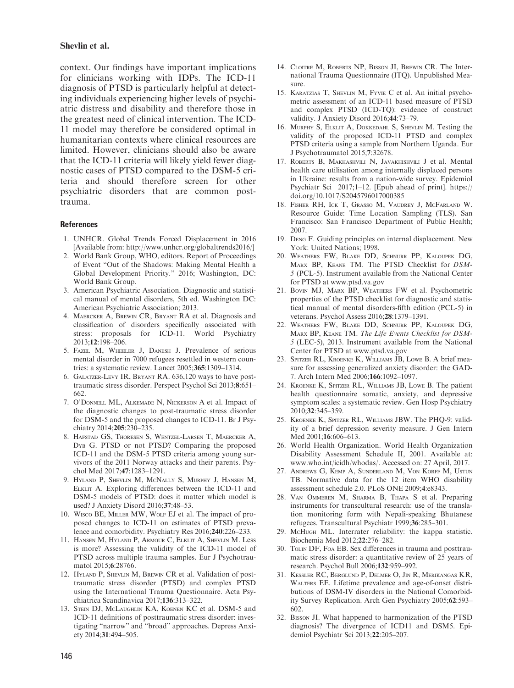#### Shevlin et al.

context. Our findings have important implications for clinicians working with IDPs. The ICD-11 diagnosis of PTSD is particularly helpful at detecting individuals experiencing higher levels of psychiatric distress and disability and therefore those in the greatest need of clinical intervention. The ICD-11 model may therefore be considered optimal in humanitarian contexts where clinical resources are limited. However, clinicians should also be aware that the ICD-11 criteria will likely yield fewer diagnostic cases of PTSD compared to the DSM-5 criteria and should therefore screen for other psychiatric disorders that are common posttrauma.

#### **References**

- 1. UNHCR. Global Trends Forced Displacement in 2016 [Available from:<http://www.unhcr.org/globaltrends2016/>]
- 2. World Bank Group, WHO, editors. Report of Proceedings of Event "Out of the Shadows: Making Mental Health a Global Development Priority." 2016; Washington, DC: World Bank Group.
- 3. American Psychiatric Association. Diagnostic and statistical manual of mental disorders, 5th ed. Washington DC: American Psychiatric Association; 2013.
- 4. Maercker A, Brewin CR, Bryant RA et al. Diagnosis and classification of disorders specifically associated with stress: proposals for ICD-11. World Psychiatry 2013;12:198–206.
- 5. Fazel M, Wheeler J, Danesh J. Prevalence of serious mental disorder in 7000 refugees resettled in western countries: a systematic review. Lancet 2005;365:1309–1314.
- 6. Galatzer-Levy IR, Bryant RA. 636,120 ways to have posttraumatic stress disorder. Perspect Psychol Sci 2013;8:651– 662.
- 7. O'Donnell ML, Alkemade N, Nickerson A et al. Impact of the diagnostic changes to post-traumatic stress disorder for DSM-5 and the proposed changes to ICD-11. Br J Psychiatry 2014;205:230–235.
- 8. Hafstad GS, Thoresen S, Wentzel-Larsen T, Maercker A, Dyb G. PTSD or not PTSD? Comparing the proposed ICD-11 and the DSM-5 PTSD criteria among young survivors of the 2011 Norway attacks and their parents. Psychol Med 2017;47:1283–1291.
- 9. Hyland P, Shevlin M, McNally S, Murphy J, Hansen M, Elklit A. Exploring differences between the ICD-11 and DSM-5 models of PTSD: does it matter which model is used? J Anxiety Disord 2016;37:48–53.
- 10. Wisco BE, Miller MW, Wolf EJ et al. The impact of proposed changes to ICD-11 on estimates of PTSD prevalence and comorbidity. Psychiatry Res 2016;240:226–233.
- 11. Hansen M, Hyland P, Armour C, Elklit A, Shevlin M. Less is more? Assessing the validity of the ICD-11 model of PTSD across multiple trauma samples. Eur J Psychotraumatol 2015;6:28766.
- 12. HYLAND P, SHEVLIN M, BREWIN CR et al. Validation of posttraumatic stress disorder (PTSD) and complex PTSD using the International Trauma Questionnaire. Acta Psychiatrica Scandinavica 2017;136:313–322.
- 13. STEIN DJ, McLAUGHLIN KA, KOENEN KC et al. DSM-5 and ICD-11 definitions of posttraumatic stress disorder: investigating "narrow" and "broad" approaches. Depress Anxiety 2014;31:494–505.
- 14. CLOITRE M, ROBERTS NP, BISSON JI, BREWIN CR. The International Trauma Questionnaire (ITQ). Unpublished Measure.
- 15. Karatzias T, Shevlin M, Fyvie C et al. An initial psychometric assessment of an ICD-11 based measure of PTSD and complex PTSD (ICD-TQ): evidence of construct validity. J Anxiety Disord 2016;44:73–79.
- 16. Murphy S, Elklit A, Dokkedahl S, Shevlin M. Testing the validity of the proposed ICD-11 PTSD and complex PTSD criteria using a sample from Northern Uganda. Eur J Psychotraumatol 2015;7:32678.
- 17. Roberts B, Makhashvili N, Javakhishvili J et al. Mental health care utilisation among internally displaced persons in Ukraine: results from a nation-wide survey. Epidemiol Psychiatr Sci 2017;1–12. [Epub ahead of print]. [https://](https://doi.org/10.1017/S2045796017000385) [doi.org/10.1017/S2045796017000385](https://doi.org/10.1017/S2045796017000385)
- 18. Fisher RH, Ick T, Grasso M, Vaudrey J, McFarland W. Resource Guide: Time Location Sampling (TLS). San Francisco: San Francisco Department of Public Health; 2007.
- 19. Deng F. Guiding principles on internal displacement. New York: United Nations; 1998.
- 20. Weathers FW, Blake DD, Schnurr PP, Kaloupek DG, Marx BP, Keane TM. The PTSD Checklist for DSM-5 (PCL-5). Instrument available from the National Center for PTSD at [www.ptsd.va.gov](http://www.ptsd.va.gov)
- 21. Bovin MJ, Marx BP, Weathers FW et al. Psychometric properties of the PTSD checklist for diagnostic and statistical manual of mental disorders-fifth edition (PCL-5) in veterans. Psychol Assess 2016;28:1379–1391.
- 22. Weathers FW, Blake DD, Schnurr PP, Kaloupek DG, Marx BP, Keane TM. The Life Events Checklist for DSM-5 (LEC-5), 2013. Instrument available from the National Center for PTSD at [www.ptsd.va.gov](http://www.ptsd.va.gov)
- 23. Spitzer RL, Kroenke K, Williams JB, Lowe B. A brief measure for assessing generalized anxiety disorder: the GAD-7. Arch Intern Med 2006;166:1092–1097.
- 24. Kroenke K, Spitzer RL, Williams JB, Lowe B. The patient health questionnaire somatic, anxiety, and depressive symptom scales: a systematic review. Gen Hosp Psychiatry 2010;32:345–359.
- 25. Kroenke K, Spitzer RL, Williams JBW. The PHQ-9: validity of a brief depression severity measure. J Gen Intern Med 2001;16:606–613.
- 26. World Health Organization. World Health Organization Disability Assessment Schedule II, 2001. Available at: [www.who.int/icidh/whodas/](http://www.who.int/icidh/whodas/). Accessed on: 27 April, 2017.
- 27. Andrews G, Kemp A, Sunderland M, Von Korff M, Ustun TB. Normative data for the 12 item WHO disability assessment schedule 2.0. PLoS ONE 2009;4:e8343.
- 28. Van Ommeren M, Sharma B, Thapa S et al. Preparing instruments for transcultural research: use of the translation monitoring form with Nepali-speaking Bhutanese refugees. Transcultural Psychiatr 1999;36:285–301.
- 29. McHugh ML. Interrater reliability: the kappa statistic. Biochemia Med 2012;22:276–282.
- 30. TOLIN DF, FOA EB. Sex differences in trauma and posttraumatic stress disorder: a quantitative review of 25 years of research. Psychol Bull 2006;132:959–992.
- 31. Kessler RC, Berglund P, Delmer O, Jin R, Merikangas KR, Walters EE. Lifetime prevalence and age-of-onset distributions of DSM-IV disorders in the National Comorbidity Survey Replication. Arch Gen Psychiatry 2005;62:593– 602.
- 32. Bisson JI. What happened to harmonization of the PTSD diagnosis? The divergence of ICD11 and DSM5. Epidemiol Psychiatr Sci 2013;22:205–207.